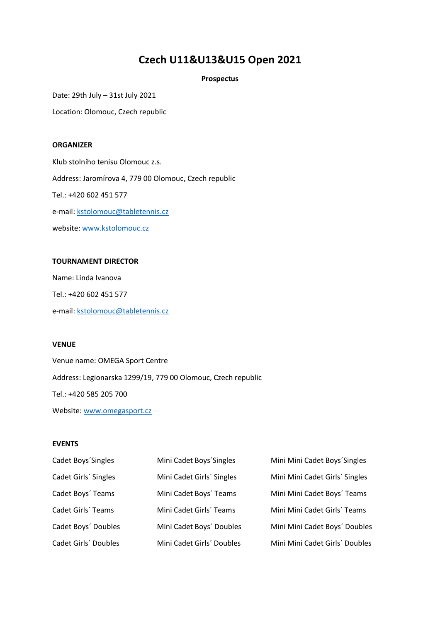# **Czech U11&U13&U15 Open 2021**

## **Prospectus**

Date: 29th July – 31st July 2021

Location: Olomouc, Czech republic

## **ORGANIZER**

Klub stolního tenisu Olomouc z.s. Address: Jaromírova 4, 779 00 Olomouc, Czech republic Tel.: +420 602 451 577 e-mail: kstolomouc@tabletennis.cz website: [www.kstolomouc.cz](http://www.kstolomouc.cz/)

#### **TOURNAMENT DIRECTOR**

Name: Linda Ivanova Tel.: +420 602 451 577 e-mail: [kstolomouc@tabletennis.cz](mailto:kstolomouc@tabletennis.cz)

#### **VENUE**

Venue name: OMEGA Sport Centre Address: Legionarska 1299/19, 779 00 Olomouc, Czech republic Tel.: +420 585 205 700 Website: [www.omegasport.cz](http://www.omegasport.cz/)

#### **EVENTS**

| Cadet Boys'Singles   | Mini Cadet Boys' Singles  | Mini Mini Cadet Boys' Singles  |
|----------------------|---------------------------|--------------------------------|
| Cadet Girls' Singles | Mini Cadet Girls' Singles | Mini Mini Cadet Girls' Singles |
| Cadet Boys' Teams    | Mini Cadet Boys' Teams    | Mini Mini Cadet Boys' Teams    |
| Cadet Girls' Teams   | Mini Cadet Girls' Teams   | Mini Mini Cadet Girls' Teams   |
| Cadet Boys' Doubles  | Mini Cadet Boys' Doubles  | Mini Mini Cadet Boys' Doubles  |
| Cadet Girls' Doubles | Mini Cadet Girls' Doubles | Mini Mini Cadet Girls' Doubles |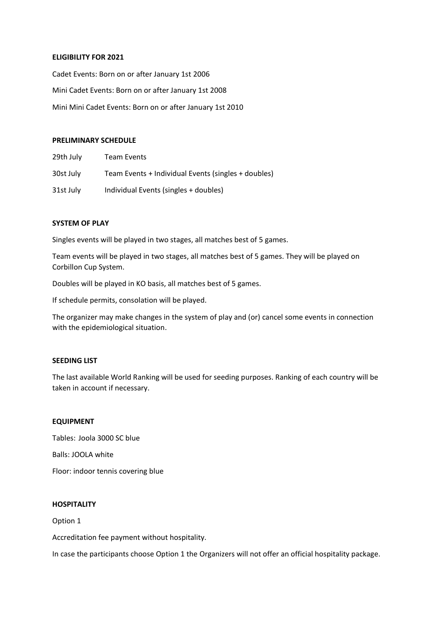## **ELIGIBILITY FOR 2021**

Cadet Events: Born on or after January 1st 2006 Mini Cadet Events: Born on or after January 1st 2008 Mini Mini Cadet Events: Born on or after January 1st 2010

#### **PRELIMINARY SCHEDULE**

| 29th July | <b>Team Events</b>                                  |
|-----------|-----------------------------------------------------|
| 30st July | Team Events + Individual Events (singles + doubles) |
| 31st July | Individual Events (singles + doubles)               |

#### **SYSTEM OF PLAY**

Singles events will be played in two stages, all matches best of 5 games.

Team events will be played in two stages, all matches best of 5 games. They will be played on Corbillon Cup System.

Doubles will be played in KO basis, all matches best of 5 games.

If schedule permits, consolation will be played.

The organizer may make changes in the system of play and (or) cancel some events in connection with the epidemiological situation.

# **SEEDING LIST**

The last available World Ranking will be used for seeding purposes. Ranking of each country will be taken in account if necessary.

## **EQUIPMENT**

Tables: Joola 3000 SC blue Balls: JOOLA white Floor: indoor tennis covering blue

# **HOSPITALITY**

Option 1

Accreditation fee payment without hospitality.

In case the participants choose Option 1 the Organizers will not offer an official hospitality package.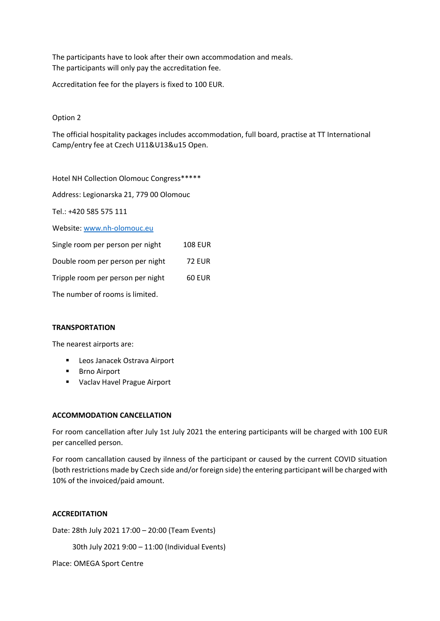The participants have to look after their own accommodation and meals. The participants will only pay the accreditation fee.

Accreditation fee for the players is fixed to 100 EUR.

# Option 2

The official hospitality packages includes accommodation, full board, practise at TT International Camp/entry fee at Czech U11&U13&u15 Open.

Hotel NH Collection Olomouc Congress\*\*\*\*\*

Address: Legionarska 21, 779 00 Olomouc

Tel.: +420 585 575 111

Website: www.nh-olomouc.eu

| <b>108 EUR</b> |
|----------------|
| <b>72 EUR</b>  |
| 60 EUR         |
|                |

The number of rooms is limited.

## **TRANSPORTATION**

The nearest airports are:

- Leos Janacek Ostrava Airport
- **Brno Airport**
- Vaclav Havel Prague Airport

#### **ACCOMMODATION CANCELLATION**

For room cancellation after July 1st July 2021 the entering participants will be charged with 100 EUR per cancelled person.

For room cancallation caused by ilnness of the participant or caused by the current COVID situation (both restrictions made by Czech side and/or foreign side) the entering participant will be charged with 10% of the invoiced/paid amount.

# **ACCREDITATION**

Date: 28th July 2021 17:00 – 20:00 (Team Events)

30th July 2021 9:00 – 11:00 (Individual Events)

Place: OMEGA Sport Centre